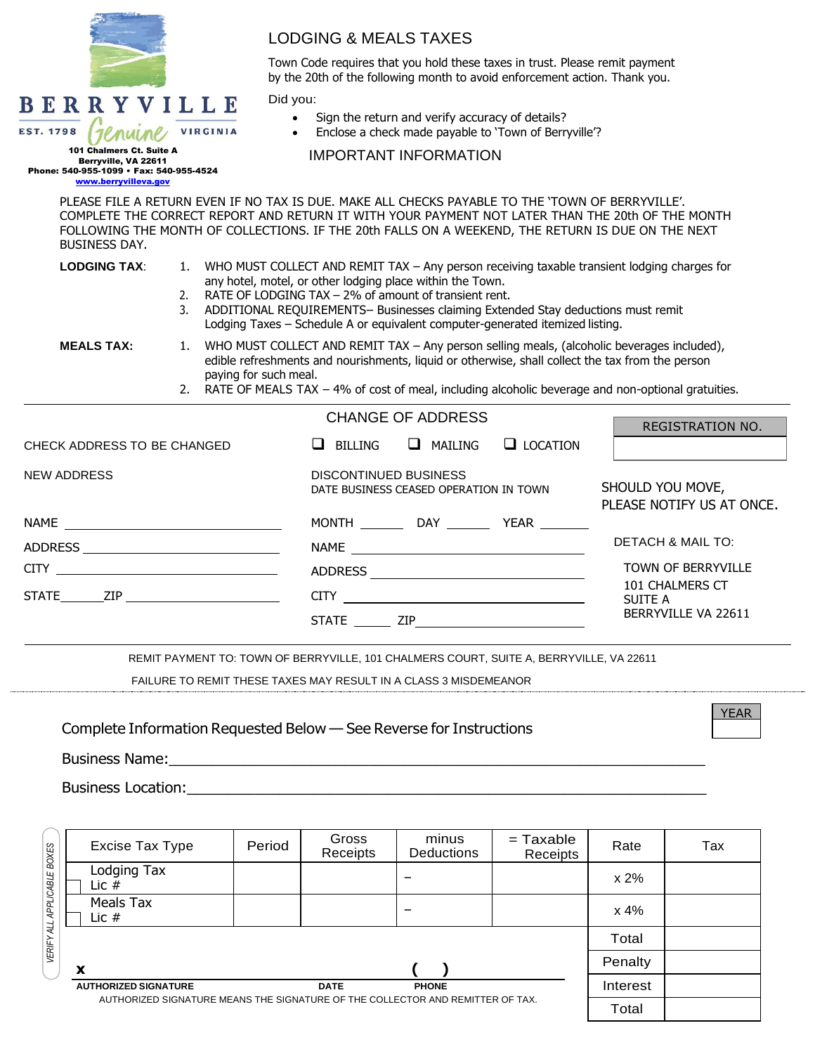|                                                                                                                                                                                                                                                                                                                                                                                                                              |                                                                                                                                                                                                                                                                                                                                 | <b>LODGING &amp; MEALS TAXES</b>                                                                                                                          |                                                                                 |                                                         |                                                                                                                                                                                                       |  |  |
|------------------------------------------------------------------------------------------------------------------------------------------------------------------------------------------------------------------------------------------------------------------------------------------------------------------------------------------------------------------------------------------------------------------------------|---------------------------------------------------------------------------------------------------------------------------------------------------------------------------------------------------------------------------------------------------------------------------------------------------------------------------------|-----------------------------------------------------------------------------------------------------------------------------------------------------------|---------------------------------------------------------------------------------|---------------------------------------------------------|-------------------------------------------------------------------------------------------------------------------------------------------------------------------------------------------------------|--|--|
|                                                                                                                                                                                                                                                                                                                                                                                                                              |                                                                                                                                                                                                                                                                                                                                 | Town Code requires that you hold these taxes in trust. Please remit payment<br>by the 20th of the following month to avoid enforcement action. Thank you. |                                                                                 |                                                         |                                                                                                                                                                                                       |  |  |
| BERRYVILLE<br><b>EST. 1798</b><br>101 Chalmers Ct. Suite A<br>Berryville, VA 22611<br>Phone: 540-955-1099 · Fax: 540-955-4524<br>www.berryvilleva.gov                                                                                                                                                                                                                                                                        | <b>VIRGINIA</b>                                                                                                                                                                                                                                                                                                                 | Did you:<br>$\bullet$                                                                                                                                     | Sign the return and verify accuracy of details?<br><b>IMPORTANT INFORMATION</b> | • Enclose a check made payable to 'Town of Berryville'? |                                                                                                                                                                                                       |  |  |
| <b>BUSINESS DAY.</b>                                                                                                                                                                                                                                                                                                                                                                                                         |                                                                                                                                                                                                                                                                                                                                 | PLEASE FILE A RETURN EVEN IF NO TAX IS DUE. MAKE ALL CHECKS PAYABLE TO THE 'TOWN OF BERRYVILLE'.                                                          |                                                                                 |                                                         | COMPLETE THE CORRECT REPORT AND RETURN IT WITH YOUR PAYMENT NOT LATER THAN THE 20th OF THE MONTH<br>FOLLOWING THE MONTH OF COLLECTIONS. IF THE 20th FALLS ON A WEEKEND, THE RETURN IS DUE ON THE NEXT |  |  |
| <b>LODGING TAX:</b><br>1. WHO MUST COLLECT AND REMIT TAX - Any person receiving taxable transient lodging charges for<br>any hotel, motel, or other lodging place within the Town.<br>RATE OF LODGING TAX - 2% of amount of transient rent.<br>2.<br>ADDITIONAL REQUIREMENTS- Businesses claiming Extended Stay deductions must remit<br>3.<br>Lodging Taxes - Schedule A or equivalent computer-generated itemized listing. |                                                                                                                                                                                                                                                                                                                                 |                                                                                                                                                           |                                                                                 |                                                         |                                                                                                                                                                                                       |  |  |
| <b>MEALS TAX:</b>                                                                                                                                                                                                                                                                                                                                                                                                            | WHO MUST COLLECT AND REMIT TAX - Any person selling meals, (alcoholic beverages included),<br>edible refreshments and nourishments, liquid or otherwise, shall collect the tax from the person<br>paying for such meal.<br>2. RATE OF MEALS TAX - 4% of cost of meal, including alcoholic beverage and non-optional gratuities. |                                                                                                                                                           |                                                                                 |                                                         |                                                                                                                                                                                                       |  |  |
|                                                                                                                                                                                                                                                                                                                                                                                                                              |                                                                                                                                                                                                                                                                                                                                 |                                                                                                                                                           | <b>CHANGE OF ADDRESS</b>                                                        |                                                         | <b>REGISTRATION NO.</b>                                                                                                                                                                               |  |  |
| CHECK ADDRESS TO BE CHANGED                                                                                                                                                                                                                                                                                                                                                                                                  | $\Box$ BILLING                                                                                                                                                                                                                                                                                                                  | $\Box$ MAILING                                                                                                                                            | $\Box$ LOCATION                                                                 |                                                         |                                                                                                                                                                                                       |  |  |
| <b>NEW ADDRESS</b>                                                                                                                                                                                                                                                                                                                                                                                                           |                                                                                                                                                                                                                                                                                                                                 | <b>DISCONTINUED BUSINESS</b><br>DATE BUSINESS CEASED OPERATION IN TOWN                                                                                    |                                                                                 |                                                         | SHOULD YOU MOVE,<br>PLEASE NOTIFY US AT ONCE.                                                                                                                                                         |  |  |
|                                                                                                                                                                                                                                                                                                                                                                                                                              |                                                                                                                                                                                                                                                                                                                                 |                                                                                                                                                           |                                                                                 | MONTH _________ DAY _________ YEAR ________             |                                                                                                                                                                                                       |  |  |
|                                                                                                                                                                                                                                                                                                                                                                                                                              |                                                                                                                                                                                                                                                                                                                                 |                                                                                                                                                           |                                                                                 | DETACH & MAIL TO:                                       |                                                                                                                                                                                                       |  |  |
| CITY                                                                                                                                                                                                                                                                                                                                                                                                                         |                                                                                                                                                                                                                                                                                                                                 |                                                                                                                                                           | TOWN OF BERRYVILLE                                                              |                                                         |                                                                                                                                                                                                       |  |  |
| STATE ZIP                                                                                                                                                                                                                                                                                                                                                                                                                    |                                                                                                                                                                                                                                                                                                                                 |                                                                                                                                                           | 101 CHALMERS CT<br><b>SUITE A</b>                                               |                                                         |                                                                                                                                                                                                       |  |  |
|                                                                                                                                                                                                                                                                                                                                                                                                                              |                                                                                                                                                                                                                                                                                                                                 |                                                                                                                                                           |                                                                                 |                                                         | BERRYVILLE VA 22611                                                                                                                                                                                   |  |  |
|                                                                                                                                                                                                                                                                                                                                                                                                                              |                                                                                                                                                                                                                                                                                                                                 | REMIT PAYMENT TO: TOWN OF BERRYVILLE, 101 CHALMERS COURT, SUITE A, BERRYVILLE, VA 22611                                                                   |                                                                                 |                                                         |                                                                                                                                                                                                       |  |  |

FAILURE TO REMIT THESE TAXES MAY RESULT IN A CLASS 3 MISDEMEANOR

Complete Information Requested Below — See Reverse for Instructions

Business Name:\_\_\_\_\_\_\_\_\_\_\_\_\_\_\_\_\_\_\_\_\_\_\_\_\_\_\_\_\_\_\_\_\_\_\_\_\_\_\_\_\_\_\_\_\_\_\_\_\_\_\_\_\_\_\_\_\_\_\_\_\_\_\_\_

Business Location:\_\_\_\_\_\_\_\_\_\_\_\_\_\_\_\_\_\_\_\_\_\_\_\_\_\_\_\_\_\_\_\_\_\_\_\_\_\_\_\_\_\_\_\_\_\_\_\_\_\_\_\_\_\_\_\_\_\_\_\_\_\_

|                                                                                | Excise Tax Type             | Period | Gross<br>Receipts           | minus<br><b>Deductions</b> | $=$ Taxable<br>Receipts | Rate     | Tax |
|--------------------------------------------------------------------------------|-----------------------------|--------|-----------------------------|----------------------------|-------------------------|----------|-----|
| APPLICABLE BOXES                                                               | Lodging Tax<br>Lic $#$      |        |                             |                            |                         | x 2%     |     |
|                                                                                | Meals Tax<br>Lic $#$        |        |                             |                            |                         | x 4%     |     |
| VERIFY ALL                                                                     |                             |        |                             |                            |                         | Total    |     |
|                                                                                | X                           |        |                             |                            |                         | Penalty  |     |
|                                                                                | <b>AUTHORIZED SIGNATURE</b> |        | <b>DATE</b><br><b>PHONE</b> |                            |                         | Interest |     |
| AUTHORIZED SIGNATURE MEANS THE SIGNATURE OF THE COLLECTOR AND REMITTER OF TAX. |                             |        |                             |                            |                         | Total    |     |

YEAR